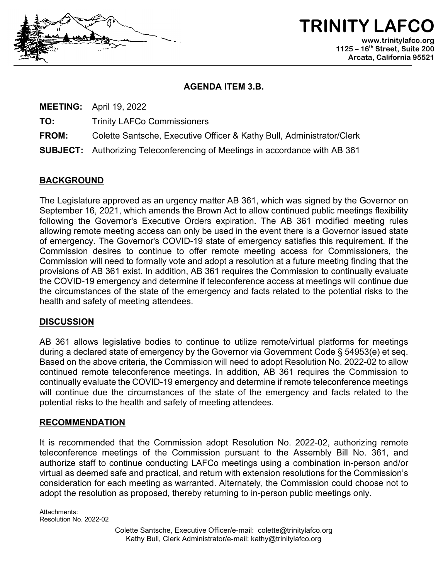

**TRINITY LAFCO www.trinitylafco.org 1125 – 16th Street, Suite 200 Arcata, California 95521**

### **AGENDA ITEM 3.B.**

**MEETING:** April 19, 2022

**TO:** Trinity LAFCo Commissioners

**FROM:** Colette Santsche, Executive Officer & Kathy Bull, Administrator/Clerk

**SUBJECT:** Authorizing Teleconferencing of Meetings in accordance with AB 361

## **BACKGROUND**

The Legislature approved as an urgency matter AB 361, which was signed by the Governor on September 16, 2021, which amends the Brown Act to allow continued public meetings flexibility following the Governor's Executive Orders expiration. The AB 361 modified meeting rules allowing remote meeting access can only be used in the event there is a Governor issued state of emergency. The Governor's COVID-19 state of emergency satisfies this requirement. If the Commission desires to continue to offer remote meeting access for Commissioners, the Commission will need to formally vote and adopt a resolution at a future meeting finding that the provisions of AB 361 exist. In addition, AB 361 requires the Commission to continually evaluate the COVID-19 emergency and determine if teleconference access at meetings will continue due the circumstances of the state of the emergency and facts related to the potential risks to the health and safety of meeting attendees.

### **DISCUSSION**

AB 361 allows legislative bodies to continue to utilize remote/virtual platforms for meetings during a declared state of emergency by the Governor via Government Code § 54953(e) et seq. Based on the above criteria, the Commission will need to adopt Resolution No. 2022-02 to allow continued remote teleconference meetings. In addition, AB 361 requires the Commission to continually evaluate the COVID-19 emergency and determine if remote teleconference meetings will continue due the circumstances of the state of the emergency and facts related to the potential risks to the health and safety of meeting attendees.

### **RECOMMENDATION**

It is recommended that the Commission adopt Resolution No. 2022-02, authorizing remote teleconference meetings of the Commission pursuant to the Assembly Bill No. 361, and authorize staff to continue conducting LAFCo meetings using a combination in-person and/or virtual as deemed safe and practical, and return with extension resolutions for the Commission's consideration for each meeting as warranted. Alternately, the Commission could choose not to adopt the resolution as proposed, thereby returning to in-person public meetings only.

Attachments: Resolution No. 2022-02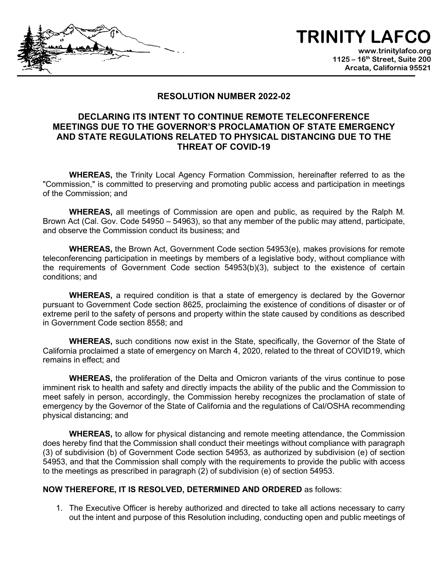# **TRINITY LAFCO**

**www.trinitylafco.org 1125 – 16th Street, Suite 200 Arcata, California 95521**

### **RESOLUTION NUMBER 2022-02**

### **DECLARING ITS INTENT TO CONTINUE REMOTE TELECONFERENCE MEETINGS DUE TO THE GOVERNOR'S PROCLAMATION OF STATE EMERGENCY AND STATE REGULATIONS RELATED TO PHYSICAL DISTANCING DUE TO THE THREAT OF COVID-19**

**WHEREAS,** the Trinity Local Agency Formation Commission, hereinafter referred to as the "Commission," is committed to preserving and promoting public access and participation in meetings of the Commission; and

**WHEREAS,** all meetings of Commission are open and public, as required by the Ralph M. Brown Act (Cal. Gov. Code 54950 – 54963), so that any member of the public may attend, participate, and observe the Commission conduct its business; and

**WHEREAS,** the Brown Act, Government Code section 54953(e), makes provisions for remote teleconferencing participation in meetings by members of a legislative body, without compliance with the requirements of Government Code section 54953(b)(3), subject to the existence of certain conditions; and

**WHEREAS,** a required condition is that a state of emergency is declared by the Governor pursuant to Government Code section 8625, proclaiming the existence of conditions of disaster or of extreme peril to the safety of persons and property within the state caused by conditions as described in Government Code section 8558; and

**WHEREAS,** such conditions now exist in the State, specifically, the Governor of the State of California proclaimed a state of emergency on March 4, 2020, related to the threat of COVID19, which remains in effect; and

**WHEREAS,** the proliferation of the Delta and Omicron variants of the virus continue to pose imminent risk to health and safety and directly impacts the ability of the public and the Commission to meet safely in person, accordingly, the Commission hereby recognizes the proclamation of state of emergency by the Governor of the State of California and the regulations of Cal/OSHA recommending physical distancing; and

**WHEREAS,** to allow for physical distancing and remote meeting attendance, the Commission does hereby find that the Commission shall conduct their meetings without compliance with paragraph (3) of subdivision (b) of Government Code section 54953, as authorized by subdivision (e) of section 54953, and that the Commission shall comply with the requirements to provide the public with access to the meetings as prescribed in paragraph (2) of subdivision (e) of section 54953.

#### **NOW THEREFORE, IT IS RESOLVED, DETERMINED AND ORDERED** as follows:

1. The Executive Officer is hereby authorized and directed to take all actions necessary to carry out the intent and purpose of this Resolution including, conducting open and public meetings of